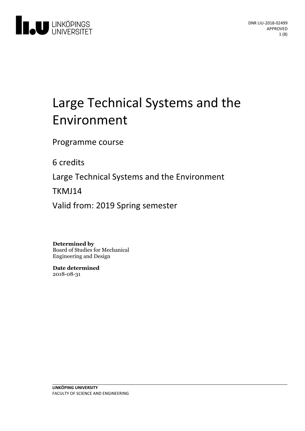

# Large Technical Systems and the Environment

Programme course

6 credits

Large Technical Systems and the Environment

TKMJ14

Valid from: 2019 Spring semester

**Determined by**

Board of Studies for Mechanical Engineering and Design

**Date determined** 2018-08-31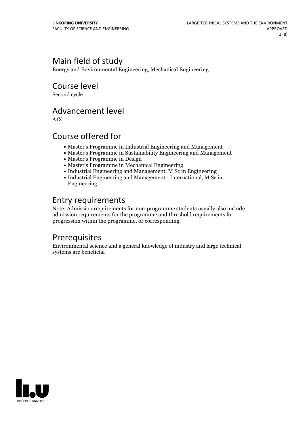# Main field of study

Energy and Environmental Engineering, Mechanical Engineering

Course level

Second cycle

### Advancement level

A1X

### Course offered for

- Master's Programme in Industrial Engineering and Management
- Master's Programme in Sustainability Engineering and Management
- Master's Programme in Design
- Master's Programme in Mechanical Engineering
- Industrial Engineering and Management, M Sc in Engineering
- Industrial Engineering and Management International, M Sc in Engineering

### Entry requirements

Note: Admission requirements for non-programme students usually also include admission requirements for the programme and threshold requirements for progression within the programme, or corresponding.

### **Prerequisites**

Environmental science and a general knowledge of industry and large technical systems are beneficial

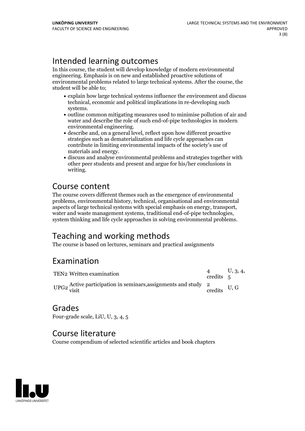# Intended learning outcomes

In this course, the student will develop knowledge of modern environmental engineering. Emphasis is on new and established proactive solutions of environmental problems related to large technical systems. After the course, the student will be able to;

- explain how large technical systems influence the environment and discuss technical, economic and political implications in re-developing such
- systems.<br>• outline common mitigating measures used to minimise pollution of air and water and describe the role of such end-of-pipe technologies in modern environmental engineering.<br>• describe and, on a general level, reflect upon how different proactive
- strategies such as dematerialization and life cycle approaches can contribute in limiting environmental impacts of the society's use of
- materials and energy.<br>• discuss and analyse environmental problems and strategies together with other peer students and present and argue for his/her conclusions in writing.

# Course content

The course covers different themes such as the emergence of environmental problems, environmental history, technical, organisational and environmental aspects of large technical systems with special emphasis on energy, transport, water and waste management systems, traditional end-of-pipe technologies, system thinking and life cycle approaches in solving environmental pr

# Teaching and working methods

The course is based on lectures, seminars and practical assignments

### Examination

| TEN2 Written examination                                                                | credits 5 | 1, 3, 4, |
|-----------------------------------------------------------------------------------------|-----------|----------|
| UPG2 Active participation in seminars, assignments and study $\frac{2}{2}$ U, G credits |           |          |

# Grades

Four-grade scale, LiU, U, 3, 4, 5

### Course literature

Course compendium of selected scientific articles and book chapters

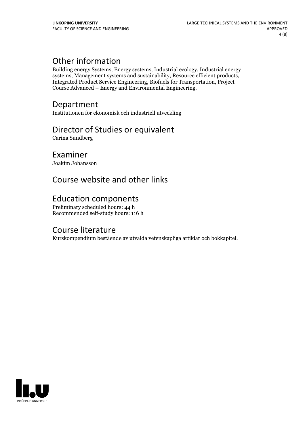## Other information

Building energy Systems, Energy systems, Industrial ecology, Industrial energy systems, Management systems and sustainability, Resource efficient products, Integrated Product Service Engineering, Biofuels for Transportation, Project Course Advanced – Energy and Environmental Engineering.

### Department

Institutionen för ekonomisk och industriell utveckling

### Director of Studies or equivalent

Carina Sundberg

#### Examiner

Joakim Johansson

# Course website and other links

### Education components

Preliminary scheduled hours: 44 h Recommended self-study hours: 116 h

### Course literature

Kurskompendium bestående av utvalda vetenskapliga artiklar och bokkapitel.

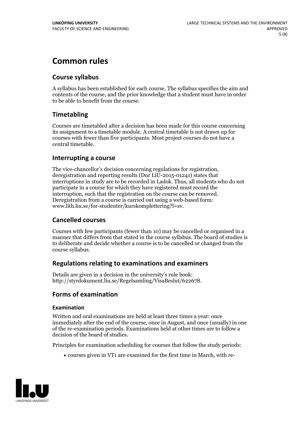# **Common rules**

#### **Course syllabus**

A syllabus has been established for each course. The syllabus specifies the aim and contents of the course, and the prior knowledge that a student must have in order to be able to benefit from the course.

#### **Timetabling**

Courses are timetabled after a decision has been made for this course concerning its assignment to a timetable module. A central timetable is not drawn up for courses with fewer than five participants. Most project courses do not have a central timetable.

#### **Interrupting a course**

The vice-chancellor's decision concerning regulations for registration, deregistration and reporting results (Dnr LiU-2015-01241) states that interruptions in study are to be recorded in Ladok. Thus, all students who do not participate in a course for which they have registered must record the interruption, such that the registration on the course can be removed. Deregistration from <sup>a</sup> course is carried outusing <sup>a</sup> web-based form: www.lith.liu.se/for-studenter/kurskomplettering?l=sv.

#### **Cancelled courses**

Courses with few participants (fewer than 10) may be cancelled or organised in a manner that differs from that stated in the course syllabus. The board of studies is to deliberate and decide whether a course is to be cancelled orchanged from the course syllabus.

#### **Regulations relatingto examinations and examiners**

Details are given in a decision in the university's rule book: http://styrdokument.liu.se/Regelsamling/VisaBeslut/622678.

#### **Forms of examination**

#### **Examination**

Written and oral examinations are held at least three times a year: once immediately after the end of the course, once in August, and once (usually) in one of the re-examination periods. Examinations held at other times are to follow a decision of the board of studies.

Principles for examination scheduling for courses that follow the study periods:

courses given in VT1 are examined for the first time in March, with re-

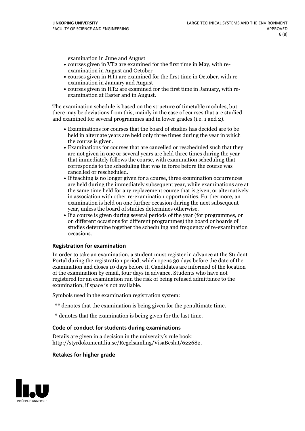examination in June and August

- courses given in VT2 are examined for the first time in May, with re-examination in August and October
- courses given in HT1 are examined for the first time in October, with re-examination in January and August
- courses given in HT2 are examined for the first time in January, with re-examination at Easter and in August.

The examination schedule is based on the structure of timetable modules, but there may be deviations from this, mainly in the case of courses that are studied and examined for several programmes and in lower grades (i.e. 1 and 2).

- Examinations for courses that the board of studies has decided are to be held in alternate years are held only three times during the year in which
- the course is given.<br>• Examinations for courses that are cancelled or rescheduled such that they are not given in one or several years are held three times during the year that immediately follows the course, with examination scheduling that corresponds to the scheduling that was in force before the course was cancelled or rescheduled.<br>• If teaching is no longer given for a course, three examination occurrences
- are held during the immediately subsequent year, while examinations are at the same time held for any replacement course that is given, or alternatively in association with other re-examination opportunities. Furthermore, an examination is held on one further occasion during the next subsequent year, unless the board of studies determines otherwise.<br>• If a course is given during several periods of the year (for programmes, or
- on different occasions for different programmes) the board orboards of studies determine together the scheduling and frequency of re-examination occasions.

#### **Registration for examination**

In order to take an examination, a student must register in advance at the Student Portal during the registration period, which opens 30 days before the date of the examination and closes 10 days before it. Candidates are informed of the location of the examination by email, four days in advance. Students who have not registered for an examination run the risk of being refused admittance to the examination, if space is not available.

Symbols used in the examination registration system:

- \*\* denotes that the examination is being given for the penultimate time.
- \* denotes that the examination is being given for the last time.

#### **Code of conduct for students during examinations**

Details are given in a decision in the university's rule book: http://styrdokument.liu.se/Regelsamling/VisaBeslut/622682.

#### **Retakes for higher grade**

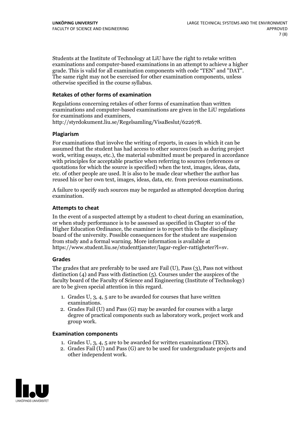Students at the Institute of Technology at LiU have the right to retake written examinations and computer-based examinations in an attempt to achieve a higher grade. This is valid for all examination components with code "TEN" and "DAT". The same right may not be exercised for other examination components, unless otherwise specified in the course syllabus.

#### **Retakes of other forms of examination**

Regulations concerning retakes of other forms of examination than written examinations and computer-based examinations are given in the LiU regulations for examinations and examiners, http://styrdokument.liu.se/Regelsamling/VisaBeslut/622678.

#### **Plagiarism**

For examinations that involve the writing of reports, in cases in which it can be assumed that the student has had access to other sources (such as during project work, writing essays, etc.), the material submitted must be prepared in accordance with principles for acceptable practice when referring to sources (references or quotations for which the source is specified) when the text, images, ideas, data, etc. of other people are used. It is also to be made clear whether the author has reused his or her own text, images, ideas, data, etc. from previous examinations.

A failure to specify such sources may be regarded as attempted deception during examination.

#### **Attempts to cheat**

In the event of <sup>a</sup> suspected attempt by <sup>a</sup> student to cheat during an examination, or when study performance is to be assessed as specified in Chapter <sup>10</sup> of the Higher Education Ordinance, the examiner is to report this to the disciplinary board of the university. Possible consequences for the student are suspension from study and a formal warning. More information is available at https://www.student.liu.se/studenttjanster/lagar-regler-rattigheter?l=sv.

#### **Grades**

The grades that are preferably to be used are Fail (U), Pass (3), Pass not without distinction  $(4)$  and Pass with distinction  $(5)$ . Courses under the auspices of the faculty board of the Faculty of Science and Engineering (Institute of Technology) are to be given special attention in this regard.

- 1. Grades U, 3, 4, 5 are to be awarded for courses that have written
- examinations. 2. Grades Fail (U) and Pass (G) may be awarded for courses with <sup>a</sup> large degree of practical components such as laboratory work, project work and group work.

#### **Examination components**

- 
- 1. Grades U, 3, 4, <sup>5</sup> are to be awarded for written examinations (TEN). 2. Grades Fail (U) and Pass (G) are to be used for undergraduate projects and other independent work.